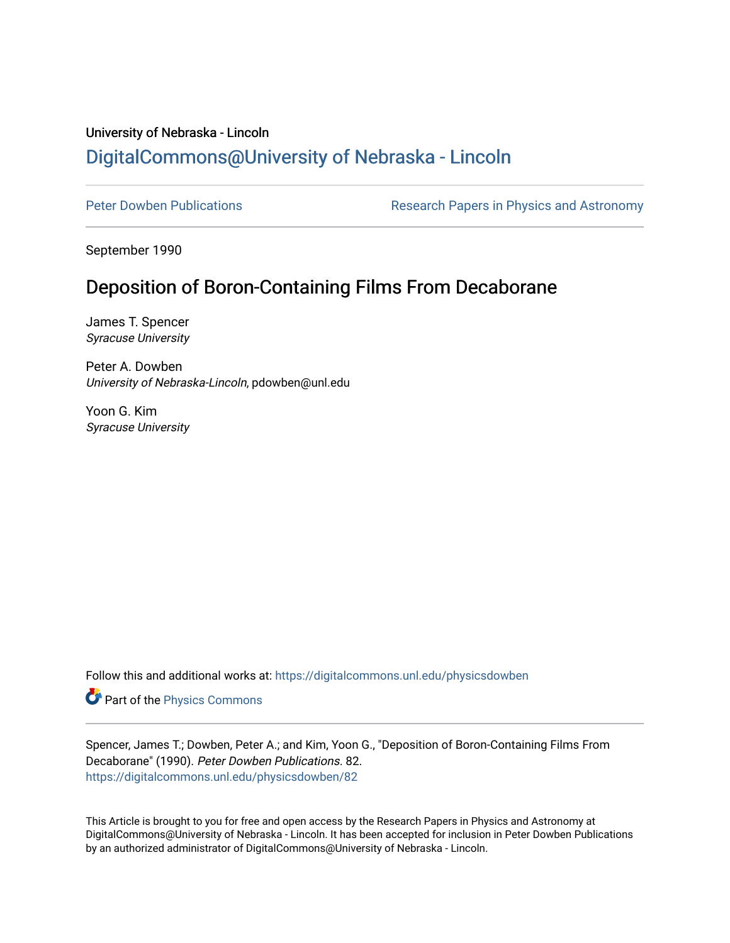# University of Nebraska - Lincoln [DigitalCommons@University of Nebraska - Lincoln](https://digitalcommons.unl.edu/)

[Peter Dowben Publications](https://digitalcommons.unl.edu/physicsdowben) **Research Papers in Physics and Astronomy** 

September 1990

# Deposition of Boron-Containing Films From Decaborane

James T. Spencer Syracuse University

Peter A. Dowben University of Nebraska-Lincoln, pdowben@unl.edu

Yoon G. Kim Syracuse University

Follow this and additional works at: [https://digitalcommons.unl.edu/physicsdowben](https://digitalcommons.unl.edu/physicsdowben?utm_source=digitalcommons.unl.edu%2Fphysicsdowben%2F82&utm_medium=PDF&utm_campaign=PDFCoverPages) 

Part of the [Physics Commons](http://network.bepress.com/hgg/discipline/193?utm_source=digitalcommons.unl.edu%2Fphysicsdowben%2F82&utm_medium=PDF&utm_campaign=PDFCoverPages)

Spencer, James T.; Dowben, Peter A.; and Kim, Yoon G., "Deposition of Boron-Containing Films From Decaborane" (1990). Peter Dowben Publications. 82. [https://digitalcommons.unl.edu/physicsdowben/82](https://digitalcommons.unl.edu/physicsdowben/82?utm_source=digitalcommons.unl.edu%2Fphysicsdowben%2F82&utm_medium=PDF&utm_campaign=PDFCoverPages)

This Article is brought to you for free and open access by the Research Papers in Physics and Astronomy at DigitalCommons@University of Nebraska - Lincoln. It has been accepted for inclusion in Peter Dowben Publications by an authorized administrator of DigitalCommons@University of Nebraska - Lincoln.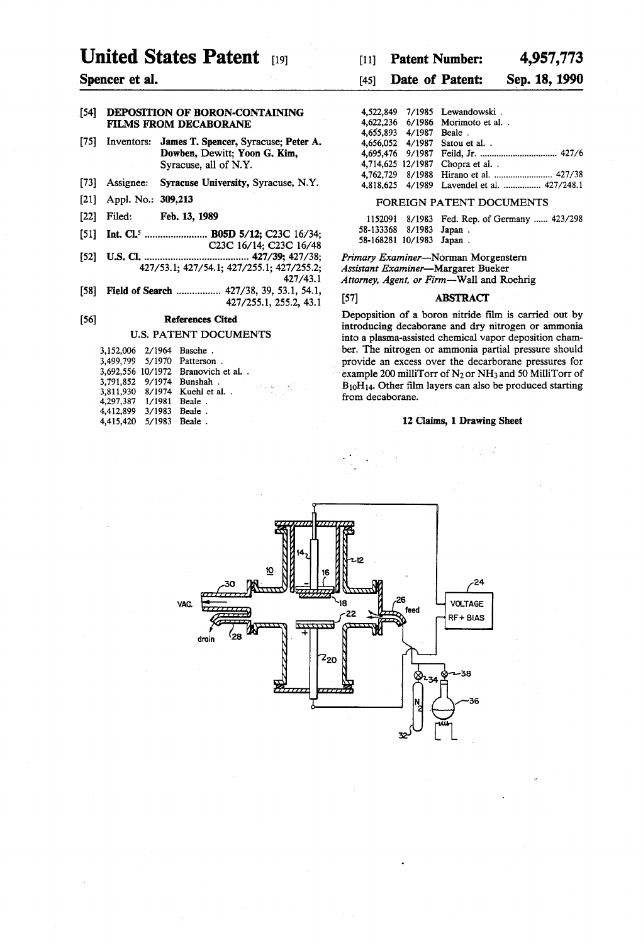# **United States Patent** [19] [11] **Patent Number: 4,957,773**

# [54] **DEPOSITION OF BORON-CONTAINING FILMS FROM DECABORANE**

- [75] Inventors: **James** T. **Spencer,** Syracuse; **Peter A. Dowben,** Dewitt; **Yoon** G. Kim, Syracuse, all of N.Y.
- [73] Assignee: **Syracuse University,** Syracuse, N.Y.
- [21] Appl. No.: 309,213
- [22] Filed: **Feb.** 13, 1989
- [5 11 **Int. Cl.5** ........................ **B05D** 5/12; C23C 16/34;
- C23C 16/14; C23C 16/48 <sup>1521</sup>**U.S. Cl.** ........................................ 427/39; 427/38; 427/53.1; 427/54.1; 427/255.1; 427/255.2; 427/43.1
- [58] **Field of Search** ................. 427/38, 39, 53.1, 54.1, 427/255.1, 255.2, 43.1

## [561 **References Cited**

## U.S. PATENT DOCUMENTS

| 3,152,006 2/1964 Basche. |                                                                                                                                                          |
|--------------------------|----------------------------------------------------------------------------------------------------------------------------------------------------------|
|                          | 3,499,799 5/1970 Patterson.                                                                                                                              |
|                          | 3.692.556 10/1972 Branovich et al. .                                                                                                                     |
|                          | 3.791.852 9/1974 Bunshah.                                                                                                                                |
|                          | $\label{eq:2.1} \mathcal{L}^{\text{max}}_{\text{max}}\left(\mathcal{L}^{\text{max}}_{\text{max}}\right)^{\text{max}}$<br>3.811.930 8/1974 Kuehl et al. . |
| 4,297,387 1/1981 Beale.  |                                                                                                                                                          |
| 4,412,899 3/1983 Beale.  |                                                                                                                                                          |
| 4.415.420 5/1983 Beale.  |                                                                                                                                                          |
|                          |                                                                                                                                                          |

# **Spencer et al. Conserver and** *[45]* **<b>Date of Patent:** Sep. 18, 1990

|                         | 4.522.849 7/1985 Lewandowski.               |
|-------------------------|---------------------------------------------|
|                         | 4,622,236 6/1986 Morimoto et al. .          |
| 4,655,893 4/1987 Beale. |                                             |
|                         | 4,656,052 4/1987 Satou et al                |
|                         |                                             |
|                         | 4,714,625 12/1987 Chopra et al. .           |
|                         |                                             |
|                         | 4,818,625 4/1989 Lavendel et al.  427/248.1 |

## FOREIGN PATENT DOCUMENTS

|                          | 1152091 8/1983 Fed. Rep. of Germany  423/298 |
|--------------------------|----------------------------------------------|
| 58-133368 8/1983 Japan.  |                                              |
| 58-168281 10/1983 Japan. |                                              |

Primary Examiner-Norman Morgenstern Assistant Examiner-Margaret Bueker Attorney, Agent, or Firm-Wall and Roehrig

## $[57]$ **ABSTRACT**

Depopsition of a boron nitride film is carried out by introducing decaborane and dry nitrogen or ammonia into a plasma-assisted chemical vapor deposition chamber. The nitrogen or ammonia partial pressure should provide an excess over the decarborane pressures for example 200 milliTorr of N2 or NH3 and 50 MilliTorr of  $B_{10}H_{14}$ . Other film layers can also be produced starting from decaborane.

# 12 **Claims,** 1 **Drawing Sheet**

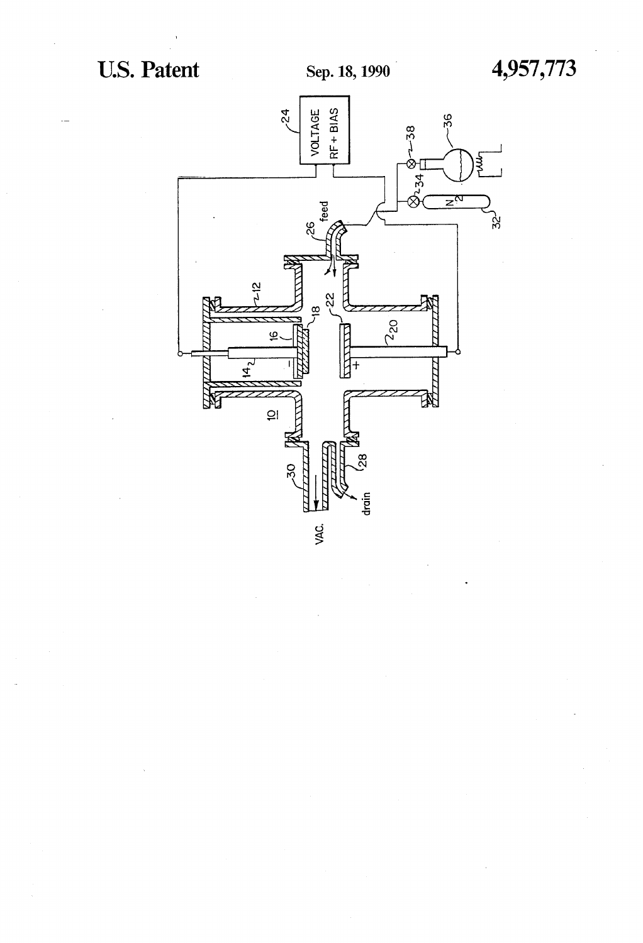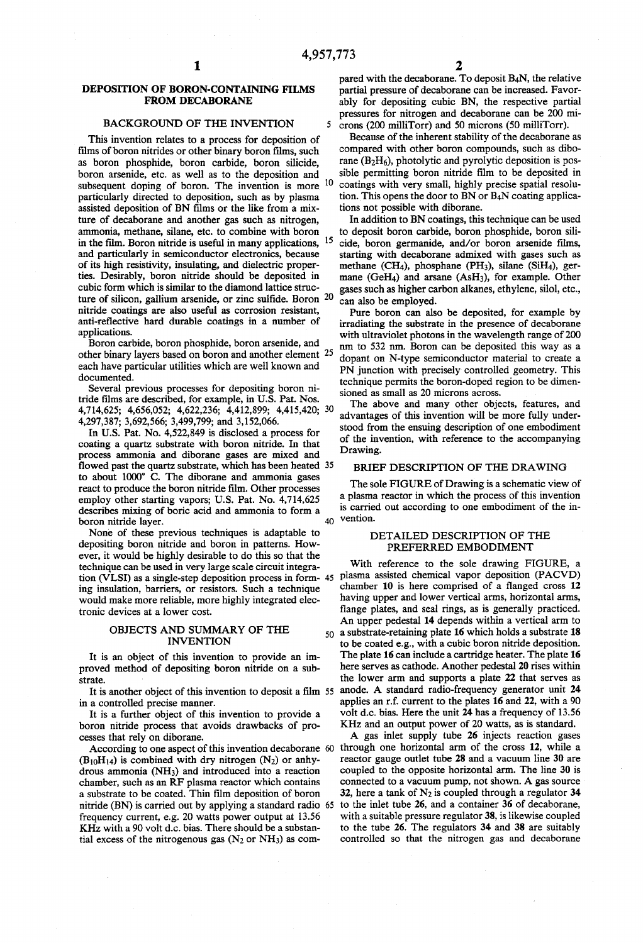films of boron nitrides or other binary boron films, such as boron phosphide, boron carbide, boron silicide. boron arsenide, etc. as well as to the deposition and sible permitting boron nitride film to be deposited in subsequent doping of boron. The invention is more  $10$  coatings with very small, highly precise spatial resolusubsequent doping of boron. The invention is more <sup>10</sup> coatings with very small, highly precise spatial resolu-<br>particularly directed to deposition, such as by plasma tion. This opens the door to BN or B4N coating applicaparticularly directed to deposition, such as by plasma tion. This opens the door to BN or assisted deposition of BN films or the like from a mix-<br>tions not possible with diborane. assisted deposition of BN films or the like from a mix-<br>tions not possible with diborane.<br>ture of decaborane and another gas such as nitrogen, In addition to BN coatings, this technique can be used ture of decaborane and another gas such as nitrogen, In addition to BN coatings, this technique can be used ammonia, methane, silane, etc. to combine with boron to deposit boron carbide, boron phosphide, boron siliammonia, methane, silane, etc. to combine with boron in the film. Boron nitride is useful in many applications,  $15$ in the film. Boron nitride is useful in many applications, <sup>15</sup> cide, boron germanide, and/or boron arsenide films, and particularly in semiconductor electronics, because starting with decaborane admixed with gases such as of its high resistivity, insulating, and dielectric proper-<br>ties. Desirably, boron nitride should be deposited in mane (GeH<sub>4</sub>) and arsane (AsH<sub>3</sub>), for example. Other ture of silicon, gallium arsenide, or zinc sulfide. Boron <sup>20</sup> can also be employed.<br>nitride coatings are also useful as corrosion resistant. Pure boron can also nitride coatings are also useful as corrosion resistant, Pure boron can also be deposited, for example by anti-reflective hard durable coatings in a number of irradiating the substrate in the presence of decaborane anti-reflective hard durable coatings in a number of irradiating the substrate in the presence of decaborane<br>with ultraviolet photons in the wavelength range of 200

other binary layers based on boron and another element <sup>25</sup> dopant on N-type semiconductor material to create a each have particular utilities which are well known and pN junction with precisely controlled geometry. This documented.

Several previous processes for depositing boron ni-<br>tride films are described, for example, in U.S. Pat. Nos.<br>4,714,625; 4,656,052; 4,622,236; 4,412,899; 4,415,420; 30<br>advantages of this invention will be more fully under-4,714,625; 4,656,052; 4,622,236; 4,412,899; 4,415,420; <sup>30</sup> 4,297,387; 3,692,566; 3,499,799; and 3,152,066.

process ammonia and diborane gases are mixed and flowed past the quartz substrate, which has been heated **35** BRIEF DESCRIPTION OF THE DRAWING to about 1000" C. The diborane and ammonia gases react to produce the boron nitride film. Other processes The sole FIGURE of Drawing is a schematic view of employ other starting vapors; U.S. Pat. No. 4,714,625 a plasma reactor in which the process of this invention describes mixing of boric acid and ammonia to form a is carried out according to one embodiment of the inboron nitride layer.

None of these previous techniques is adaptable to depositing boron nitride and boron in patterns. However, it would be highly desirable to do this so that the technique can be used in very large scale circuit integraing insulation, barriers, or resistors. Such a technique would make more reliable, more highly integrated electronic devices at a lower cost.

# OBJECTS AND SUMMARY OF THE INVENTION

It is another object of this invention to deposit a film 55 in a controlled precise manner. applies an r.f. current to the plates **16** and **22,** with a 90

boron nitride process that avoids drawbacks of pro-

According to one aspect of this invention decaborane 60 (B10H14) is combined with dry nitrogen (N2) or anhy- reactor gauge outlet tube **28** and a vacuum line **30** are drous ammonia (NH3) and introduced into a reaction coupled to the opposite horizontal arm. The line **30** is chamber, such as an RF plasma reactor which contains connected to a vacuum pump, not shown. **A** gas source a substrate to be coated. Thin film deposition of boron nitride (BN) is carried out by applying a standard radio **65** to the inlet tube **26,** and a container **36** of decaborane, frequency current, e.g. 20 watts power output at 13.56 with a suitable pressure regulator **38,** is likewise coupled KHz with a 90 volt d.c. bias. There should be a substan- to the tube **26.** The regulators **34** and **38** are suitably

pared with the decaborane. To deposit B4N, the relative **DEPOSITION OF BORON-CONTAINING FILMS** partial pressure of decaborane can be increased. Favor-<br>**FROM DECABORANE** ably for denositing cubic BN, the respective nartial ably for depositing cubic BN, the respective partial pressures for nitrogen and decaborane can be 200 mi-BACKGROUND OF THE INVENTION 5 crons (200 milliTorr) and 50 microns (50 milliTorr).<br>is invention relates to a process for deposition of Because of the inherent stability of the decaborane as

This invention relates to a process for deposition of Because of the inherent stability of the decaborane as<br>ms of boron nitrides or other binary boron films such compared with other boron compounds, such as diborane  $(B_2H_6)$ , photolytic and pyrolytic deposition is possible permitting boron nitride film to be deposited in

and particularly in semiconductor electronics, because starting with decaborane admixed with gases such as of its high resistivity, insulating, and dielectric proper- methane (CH4), phosphane (PH3), silane (SiH4), gerties. Desirably, boron nitride should be deposited in mane (GeH<sub>4</sub>) and arsane (AsH<sub>3</sub>), for example. Other cubic form which is similar to the diamond lattice struc-<br>gases such as higher carbon alkanes, ethylene, silol, e gases such as higher carbon alkanes, ethylene, silol, etc.,

plications.<br>Boron carbide, boron phosphide, boron arsenide, and  $\frac{1}{2}$  nm to 532 nm. Boron can be deposited this way as a documented.<br>Several previous processes for depositing boron ni-<br>signal as small at 20 minutes agrees

4,297,367; 3,092,300; 3,499,799; and 3,152,000.<br>
In U.S. Pat. No. 4,522,849 is disclosed a process for<br>
coating a quartz substrate with boron nitride. In that of the invention, with reference to the accompanying<br>
Drawing.

a plasma reactor in which the process of this invention 40 vention.

## DETAILED DESCRIPTION OF THE PREFERRED EMBODIMENT

tion (VLSI) as a single-step deposition process in form- 45 plasma assisted chemical vapor deposition (PACVD) With reference to the sole drawing FIGURE, a chamber **10** is here comprised of a flanged cross **12**  having upper and lower vertical arms, horizontal arms, flange plates, and seal rings, as is generally practiced. An upper pedestal **14** depends within a vertical arm to a substrate-retaining plate **16** which holds a substrate **18**  to be coated e.g., with a cubic boron nitride deposition. It is an object of this invention to provide an im-<br>The plate 16 can include a cartridge heater. The plate 16 proved method of depositing boron nitride on a sub- here serves as cathode. Another pedestal **20** rises within strate.<br>It is another object of this invention to deposit a film 55 anode. A standard radio-frequency generator unit 24<br>as It is another object of this invention to deposit a film 55 anode. A standard radio-frequency gener It is a further object of this invention to provide a volt d.c. bias. Here the unit 24 has a frequency of 13.56 pron nitride process that avoids drawbacks of pro-<br>KHz and an output power of 20 watts, as is standard.

cesses that rely on diborane.<br>A gas inlet supply tube 26 injects reaction gases<br>According to one aspect of this invention decaborane 60 through one horizontal arm of the cross 12, while a tial excess of the nitrogenous gas  $(N_2 \text{ or } NH_3)$  as com- controlled so that the nitrogen gas and decaborane